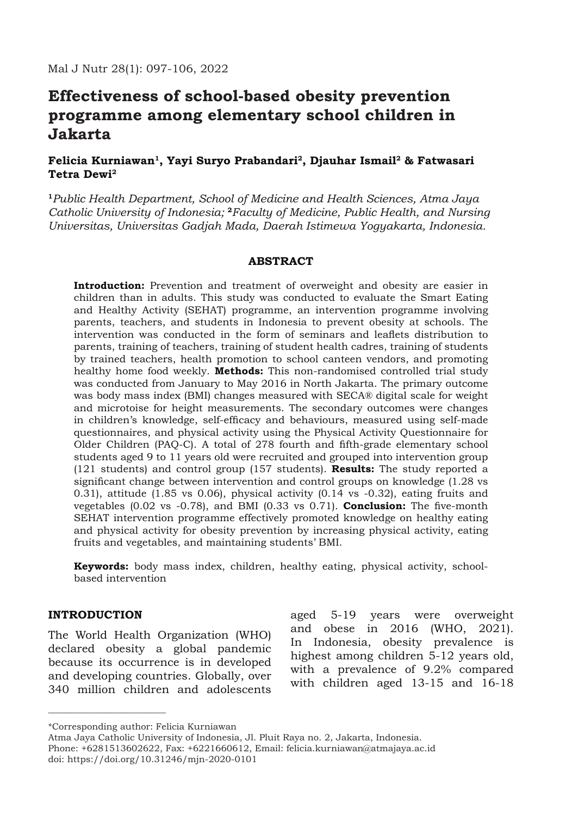# **Effectiveness of school-based obesity prevention programme among elementary school children in Jakarta**

# **Felicia Kurniawan1, Yayi Suryo Prabandari2, Djauhar Ismail2 & Fatwasari Tetra Dewi2**

**<sup>1</sup>***Public Health Department, School of Medicine and Health Sciences, Atma Jaya Catholic University of Indonesia;* **<sup>2</sup>***Faculty of Medicine, Public Health, and Nursing Universitas, Universitas Gadjah Mada, Daerah Istimewa Yogyakarta, Indonesia.*

## **ABSTRACT**

**Introduction:** Prevention and treatment of overweight and obesity are easier in children than in adults. This study was conducted to evaluate the Smart Eating and Healthy Activity (SEHAT) programme, an intervention programme involving parents, teachers, and students in Indonesia to prevent obesity at schools. The intervention was conducted in the form of seminars and leaflets distribution to parents, training of teachers, training of student health cadres, training of students by trained teachers, health promotion to school canteen vendors, and promoting healthy home food weekly. **Methods:** This non-randomised controlled trial study was conducted from January to May 2016 in North Jakarta. The primary outcome was body mass index (BMI) changes measured with SECA® digital scale for weight and microtoise for height measurements. The secondary outcomes were changes in children's knowledge, self-efficacy and behaviours, measured using self-made questionnaires, and physical activity using the Physical Activity Questionnaire for Older Children (PAQ-C). A total of 278 fourth and fifth-grade elementary school students aged 9 to 11 years old were recruited and grouped into intervention group (121 students) and control group (157 students). **Results:** The study reported a significant change between intervention and control groups on knowledge (1.28 vs 0.31), attitude (1.85 vs 0.06), physical activity (0.14 vs -0.32), eating fruits and vegetables (0.02 vs -0.78), and BMI (0.33 vs 0.71). **Conclusion:** The five-month SEHAT intervention programme effectively promoted knowledge on healthy eating and physical activity for obesity prevention by increasing physical activity, eating fruits and vegetables, and maintaining students' BMI.

**Keywords:** body mass index, children, healthy eating, physical activity, schoolbased intervention

## **INTRODUCTION**

\_\_\_\_\_\_\_\_\_\_\_\_\_\_\_\_\_\_\_\_\_\_\_\_\_\_

The World Health Organization (WHO) declared obesity a global pandemic because its occurrence is in developed and developing countries. Globally, over 340 million children and adolescents

aged 5-19 years were overweight and obese in 2016 (WHO, 2021). In Indonesia, obesity prevalence is highest among children 5-12 years old, with a prevalence of 9.2% compared with children aged 13-15 and 16-18

<sup>\*</sup>Corresponding author: Felicia Kurniawan

Atma Jaya Catholic University of Indonesia, Jl. Pluit Raya no. 2, Jakarta, Indonesia. Phone: +6281513602622, Fax: +6221660612, Email: felicia.kurniawan@atmajaya.ac.id doi: https://doi.org/10.31246/mjn-2020-0101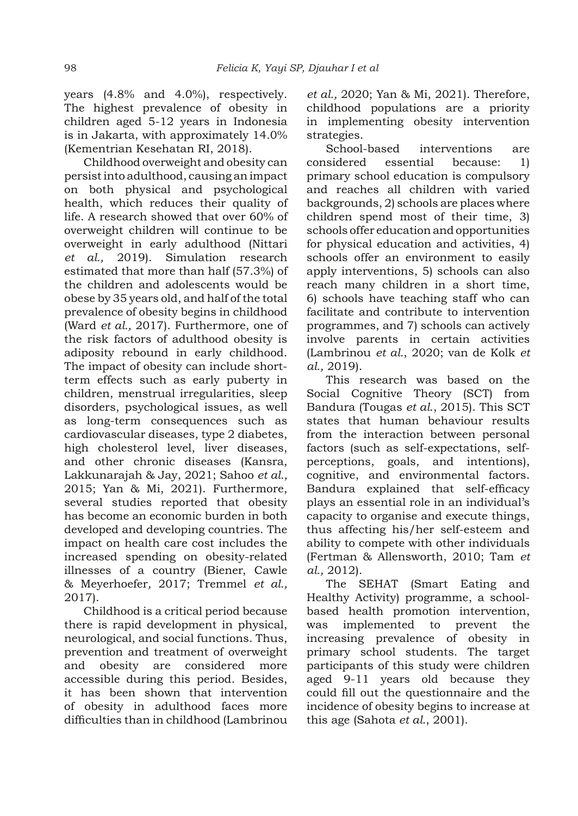years (4.8% and 4.0%), respectively. The highest prevalence of obesity in children aged 5-12 years in Indonesia is in Jakarta, with approximately 14.0% (Kementrian Kesehatan RI, 2018).

Childhood overweight and obesity can persist into adulthood, causing an impact on both physical and psychological health, which reduces their quality of life. A research showed that over 60% of overweight children will continue to be overweight in early adulthood (Nittari *et al.,* 2019). Simulation research estimated that more than half (57.3%) of the children and adolescents would be obese by 35 years old, and half of the total prevalence of obesity begins in childhood (Ward *et al.,* 2017). Furthermore, one of the risk factors of adulthood obesity is adiposity rebound in early childhood. The impact of obesity can include shortterm effects such as early puberty in children, menstrual irregularities, sleep disorders, psychological issues, as well as long-term consequences such as cardiovascular diseases, type 2 diabetes, high cholesterol level, liver diseases, and other chronic diseases (Kansra, Lakkunarajah & Jay, 2021; Sahoo *et al.,* 2015; Yan & Mi, 2021). Furthermore, several studies reported that obesity has become an economic burden in both developed and developing countries. The impact on health care cost includes the increased spending on obesity-related illnesses of a country (Biener, Cawle & Meyerhoefer*,* 2017; Tremmel *et al.,* 2017).

Childhood is a critical period because there is rapid development in physical, neurological, and social functions. Thus, prevention and treatment of overweight and obesity are considered more accessible during this period. Besides, it has been shown that intervention of obesity in adulthood faces more difficulties than in childhood (Lambrinou *et al.,* 2020; Yan & Mi, 2021). Therefore, childhood populations are a priority in implementing obesity intervention strategies.

School-based interventions are considered essential because: 1) primary school education is compulsory and reaches all children with varied backgrounds, 2) schools are places where children spend most of their time, 3) schools offer education and opportunities for physical education and activities, 4) schools offer an environment to easily apply interventions, 5) schools can also reach many children in a short time, 6) schools have teaching staff who can facilitate and contribute to intervention programmes, and 7) schools can actively involve parents in certain activities (Lambrinou *et al.*, 2020; van de Kolk *et al.,* 2019).

This research was based on the Social Cognitive Theory (SCT) from Bandura (Tougas *et al*., 2015). This SCT states that human behaviour results from the interaction between personal factors (such as self-expectations, selfperceptions, goals, and intentions), cognitive, and environmental factors. Bandura explained that self-efficacy plays an essential role in an individual's capacity to organise and execute things, thus affecting his/her self-esteem and ability to compete with other individuals (Fertman & Allensworth, 2010; Tam *et al.,* 2012).

The SEHAT (Smart Eating and Healthy Activity) programme, a schoolbased health promotion intervention, was implemented to prevent the increasing prevalence of obesity in primary school students. The target participants of this study were children aged 9-11 years old because they could fill out the questionnaire and the incidence of obesity begins to increase at this age (Sahota *et al.*, 2001).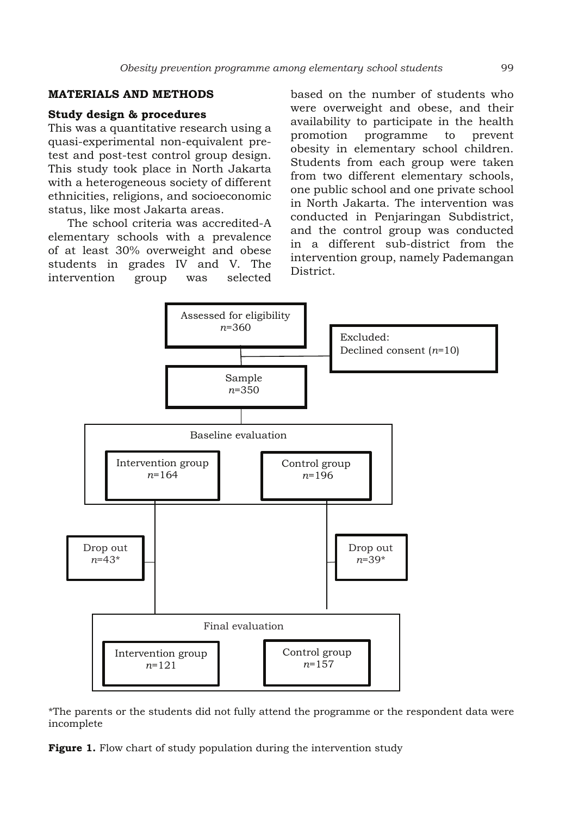## **MATERIALS AND METHODS**

#### **Study design & procedures**

This was a quantitative research using a quasi-experimental non-equivalent pretest and post-test control group design. This study took place in North Jakarta with a heterogeneous society of different ethnicities, religions, and socioeconomic status, like most Jakarta areas.

The school criteria was accredited-A elementary schools with a prevalence of at least 30% overweight and obese students in grades IV and V. The intervention group was selected based on the number of students who were overweight and obese, and their availability to participate in the health promotion programme to prevent obesity in elementary school children. Students from each group were taken from two different elementary schools, one public school and one private school in North Jakarta. The intervention was conducted in Penjaringan Subdistrict, and the control group was conducted in a different sub-district from the intervention group, namely Pademangan District.



\*The parents or the students did not fully attend the programme or the respondent data were incomplete

**Figure 1.** Flow chart of study population during the intervention study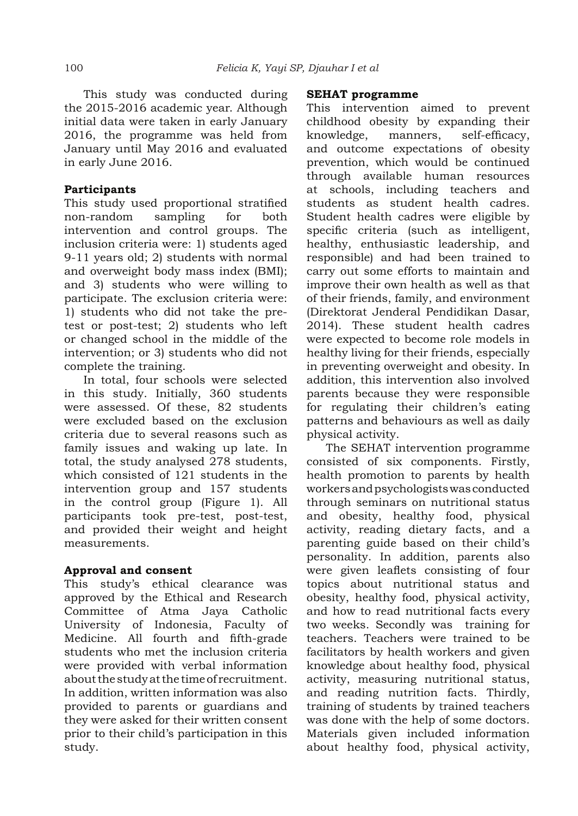This study was conducted during the 2015-2016 academic year. Although initial data were taken in early January 2016, the programme was held from January until May 2016 and evaluated in early June 2016.

# **Participants**

This study used proportional stratified non-random sampling for both intervention and control groups. The inclusion criteria were: 1) students aged 9-11 years old; 2) students with normal and overweight body mass index (BMI); and 3) students who were willing to participate. The exclusion criteria were: 1) students who did not take the pretest or post-test; 2) students who left or changed school in the middle of the intervention; or 3) students who did not complete the training.

In total, four schools were selected in this study. Initially, 360 students were assessed. Of these, 82 students were excluded based on the exclusion criteria due to several reasons such as family issues and waking up late. In total, the study analysed 278 students, which consisted of 121 students in the intervention group and 157 students in the control group (Figure 1). All participants took pre-test, post-test, and provided their weight and height measurements.

# **Approval and consent**

This study's ethical clearance was approved by the Ethical and Research Committee of Atma Jaya Catholic University of Indonesia, Faculty of Medicine. All fourth and fifth-grade students who met the inclusion criteria were provided with verbal information about the study at the time of recruitment. In addition, written information was also provided to parents or guardians and they were asked for their written consent prior to their child's participation in this study.

#### **SEHAT programme**

This intervention aimed to prevent childhood obesity by expanding their knowledge, manners, self-efficacy, and outcome expectations of obesity prevention, which would be continued through available human resources at schools, including teachers and students as student health cadres. Student health cadres were eligible by specific criteria (such as intelligent, healthy, enthusiastic leadership, and responsible) and had been trained to carry out some efforts to maintain and improve their own health as well as that of their friends, family, and environment (Direktorat Jenderal Pendidikan Dasar, 2014). These student health cadres were expected to become role models in healthy living for their friends, especially in preventing overweight and obesity. In addition, this intervention also involved parents because they were responsible for regulating their children's eating patterns and behaviours as well as daily physical activity.

The SEHAT intervention programme consisted of six components. Firstly, health promotion to parents by health workers and psychologists was conducted through seminars on nutritional status and obesity, healthy food, physical activity, reading dietary facts, and a parenting guide based on their child's personality. In addition, parents also were given leaflets consisting of four topics about nutritional status and obesity, healthy food, physical activity, and how to read nutritional facts every two weeks. Secondly was training for teachers. Teachers were trained to be facilitators by health workers and given knowledge about healthy food, physical activity, measuring nutritional status, and reading nutrition facts. Thirdly, training of students by trained teachers was done with the help of some doctors. Materials given included information about healthy food, physical activity,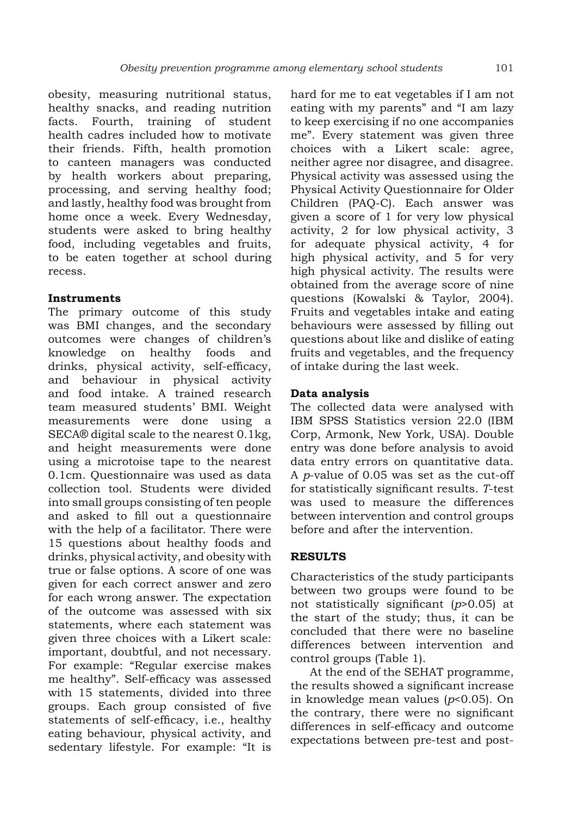obesity, measuring nutritional status, healthy snacks, and reading nutrition facts. Fourth, training of student health cadres included how to motivate their friends. Fifth, health promotion to canteen managers was conducted by health workers about preparing, processing, and serving healthy food; and lastly, healthy food was brought from home once a week. Every Wednesday, students were asked to bring healthy food, including vegetables and fruits, to be eaten together at school during recess.

#### **Instruments**

The primary outcome of this study was BMI changes, and the secondary outcomes were changes of children's knowledge on healthy foods and drinks, physical activity, self-efficacy, and behaviour in physical activity and food intake. A trained research team measured students' BMI. Weight measurements were done using a SECA® digital scale to the nearest 0.1kg, and height measurements were done using a microtoise tape to the nearest 0.1cm. Questionnaire was used as data collection tool. Students were divided into small groups consisting of ten people and asked to fill out a questionnaire with the help of a facilitator. There were 15 questions about healthy foods and drinks, physical activity, and obesity with true or false options. A score of one was given for each correct answer and zero for each wrong answer. The expectation of the outcome was assessed with six statements, where each statement was given three choices with a Likert scale: important, doubtful, and not necessary. For example: "Regular exercise makes me healthy". Self-efficacy was assessed with 15 statements, divided into three groups. Each group consisted of five statements of self-efficacy, i.e., healthy eating behaviour, physical activity, and sedentary lifestyle. For example: "It is

hard for me to eat vegetables if I am not eating with my parents" and "I am lazy to keep exercising if no one accompanies me". Every statement was given three choices with a Likert scale: agree, neither agree nor disagree, and disagree. Physical activity was assessed using the Physical Activity Questionnaire for Older Children (PAQ-C). Each answer was given a score of 1 for very low physical activity, 2 for low physical activity, 3 for adequate physical activity, 4 for high physical activity, and 5 for very high physical activity. The results were obtained from the average score of nine questions (Kowalski & Taylor, 2004). Fruits and vegetables intake and eating behaviours were assessed by filling out questions about like and dislike of eating fruits and vegetables, and the frequency of intake during the last week.

## **Data analysis**

The collected data were analysed with IBM SPSS Statistics version 22.0 (IBM Corp, Armonk, New York, USA). Double entry was done before analysis to avoid data entry errors on quantitative data. A *p*-value of 0.05 was set as the cut-off for statistically significant results. *T*-test was used to measure the differences between intervention and control groups before and after the intervention.

## **RESULTS**

Characteristics of the study participants between two groups were found to be not statistically significant (*p*>0.05) at the start of the study; thus, it can be concluded that there were no baseline differences between intervention and control groups (Table 1).

At the end of the SEHAT programme, the results showed a significant increase in knowledge mean values (*p*<0.05). On the contrary, there were no significant differences in self-efficacy and outcome expectations between pre-test and post-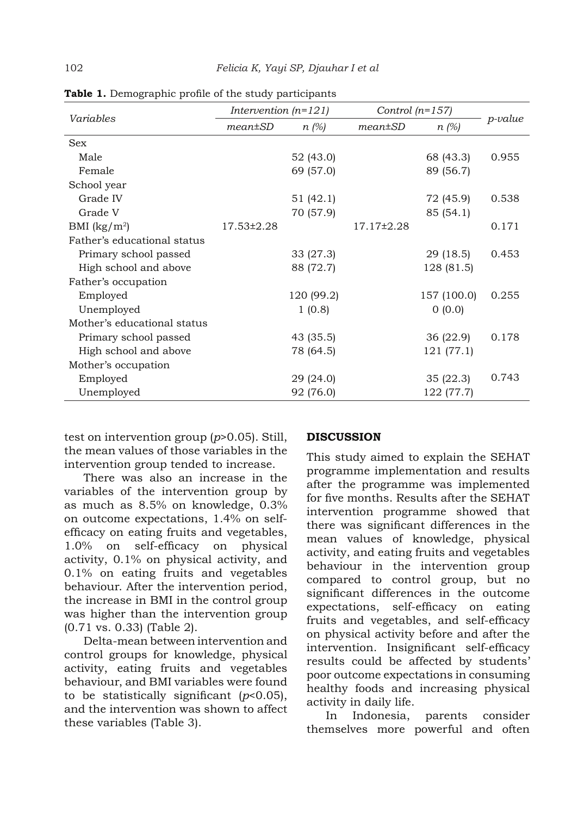| Variables                   | Intervention $(n=121)$ |            | Control $(n=157)$ |             |            |
|-----------------------------|------------------------|------------|-------------------|-------------|------------|
|                             | $mean \pm SD$          | $n(\%)$    | $mean \pm SD$     | $n(\%)$     | $p$ -value |
| <b>Sex</b>                  |                        |            |                   |             |            |
| Male                        |                        | 52 (43.0)  |                   | 68 (43.3)   | 0.955      |
| Female                      |                        | 69 (57.0)  |                   | 89 (56.7)   |            |
| School year                 |                        |            |                   |             |            |
| Grade IV                    |                        | 51 (42.1)  |                   | 72 (45.9)   | 0.538      |
| Grade V                     |                        | 70 (57.9)  |                   | 85 (54.1)   |            |
| BMI $(kg/m^2)$              | 17.53±2.28             |            | $17.17 \pm 2.28$  |             | 0.171      |
| Father's educational status |                        |            |                   |             |            |
| Primary school passed       |                        | 33(27.3)   |                   | 29 (18.5)   | 0.453      |
| High school and above       |                        | 88 (72.7)  |                   | 128 (81.5)  |            |
| Father's occupation         |                        |            |                   |             |            |
| Employed                    |                        | 120 (99.2) |                   | 157 (100.0) | 0.255      |
| Unemployed                  |                        | 1(0.8)     |                   | 0(0.0)      |            |
| Mother's educational status |                        |            |                   |             |            |
| Primary school passed       |                        | 43 (35.5)  |                   | 36 (22.9)   | 0.178      |
| High school and above       |                        | 78 (64.5)  |                   | 121 (77.1)  |            |
| Mother's occupation         |                        |            |                   |             |            |
| Employed                    |                        | 29 (24.0)  |                   | 35(22.3)    | 0.743      |
| Unemployed                  |                        | 92 (76.0)  |                   | 122 (77.7)  |            |

**Table 1.** Demographic profile of the study participants

test on intervention group (*p*>0.05). Still, the mean values of those variables in the intervention group tended to increase.

There was also an increase in the variables of the intervention group by as much as 8.5% on knowledge, 0.3% on outcome expectations, 1.4% on selfefficacy on eating fruits and vegetables, 1.0% on self-efficacy on physical activity, 0.1% on physical activity, and 0.1% on eating fruits and vegetables behaviour. After the intervention period, the increase in BMI in the control group was higher than the intervention group (0.71 vs. 0.33) (Table 2).

Delta-mean between intervention and control groups for knowledge, physical activity, eating fruits and vegetables behaviour, and BMI variables were found to be statistically significant (*p*<0.05), and the intervention was shown to affect these variables (Table 3).

#### **DISCUSSION**

This study aimed to explain the SEHAT programme implementation and results after the programme was implemented for five months. Results after the SEHAT intervention programme showed that there was significant differences in the mean values of knowledge, physical activity, and eating fruits and vegetables behaviour in the intervention group compared to control group, but no significant differences in the outcome expectations, self-efficacy on eating fruits and vegetables, and self-efficacy on physical activity before and after the intervention. Insignificant self-efficacy results could be affected by students' poor outcome expectations in consuming healthy foods and increasing physical activity in daily life.

In Indonesia, parents consider themselves more powerful and often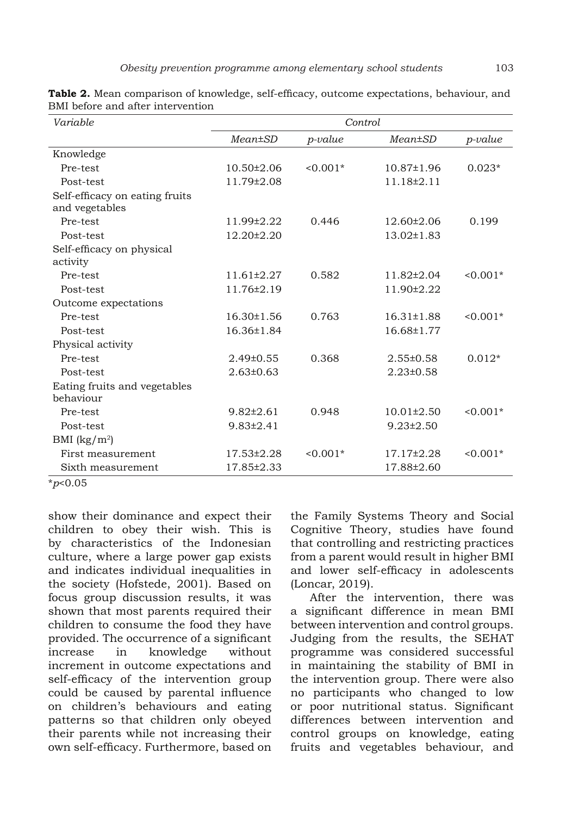| Variable                                         | Control          |            |                  |            |  |
|--------------------------------------------------|------------------|------------|------------------|------------|--|
|                                                  | $Mean \pm SD$    | $p$ -value | Mean±SD          | $p$ -value |  |
| Knowledge                                        |                  |            |                  |            |  |
| Pre-test                                         | $10.50 \pm 2.06$ | $< 0.001*$ | $10.87 \pm 1.96$ | $0.023*$   |  |
| Post-test                                        | 11.79±2.08       |            | 11.18±2.11       |            |  |
| Self-efficacy on eating fruits<br>and vegetables |                  |            |                  |            |  |
| Pre-test                                         | 11.99±2.22       | 0.446      | $12.60 \pm 2.06$ | 0.199      |  |
| Post-test                                        | 12.20±2.20       |            | $13.02 \pm 1.83$ |            |  |
| Self-efficacy on physical<br>activity            |                  |            |                  |            |  |
| Pre-test                                         | $11.61 \pm 2.27$ | 0.582      | 11.82±2.04       | $0.001*$   |  |
| Post-test                                        | 11.76±2.19       |            | 11.90±2.22       |            |  |
| Outcome expectations                             |                  |            |                  |            |  |
| Pre-test                                         | $16.30 \pm 1.56$ | 0.763      | $16.31 \pm 1.88$ | $0.001*$   |  |
| Post-test                                        | 16.36±1.84       |            | 16.68±1.77       |            |  |
| Physical activity                                |                  |            |                  |            |  |
| Pre-test                                         | $2.49\pm0.55$    | 0.368      | $2.55 \pm 0.58$  | $0.012*$   |  |
| Post-test                                        | $2.63 \pm 0.63$  |            | $2.23 \pm 0.58$  |            |  |
| Eating fruits and vegetables<br>behaviour        |                  |            |                  |            |  |
| Pre-test                                         | $9.82 \pm 2.61$  | 0.948      | $10.01 \pm 2.50$ | $0.001*$   |  |
| Post-test                                        | $9.83 \pm 2.41$  |            | $9.23 \pm 2.50$  |            |  |
| BMI $(kg/m^2)$                                   |                  |            |                  |            |  |
| First measurement                                | 17.53±2.28       | $0.001*$   | 17.17±2.28       | $0.001*$   |  |
| Sixth measurement                                | 17.85±2.33       |            | 17.88±2.60       |            |  |

**Table 2.** Mean comparison of knowledge, self-efficacy, outcome expectations, behaviour, and BMI before and after intervention

\**p*<0.05

show their dominance and expect their children to obey their wish. This is by characteristics of the Indonesian culture, where a large power gap exists and indicates individual inequalities in the society (Hofstede, 2001). Based on focus group discussion results, it was shown that most parents required their children to consume the food they have provided. The occurrence of a significant increase in knowledge without increment in outcome expectations and self-efficacy of the intervention group could be caused by parental influence on children's behaviours and eating patterns so that children only obeyed their parents while not increasing their own self-efficacy. Furthermore, based on

the Family Systems Theory and Social Cognitive Theory, studies have found that controlling and restricting practices from a parent would result in higher BMI and lower self-efficacy in adolescents (Loncar, 2019).

After the intervention, there was a significant difference in mean BMI between intervention and control groups. Judging from the results, the SEHAT programme was considered successful in maintaining the stability of BMI in the intervention group. There were also no participants who changed to low or poor nutritional status. Significant differences between intervention and control groups on knowledge, eating fruits and vegetables behaviour, and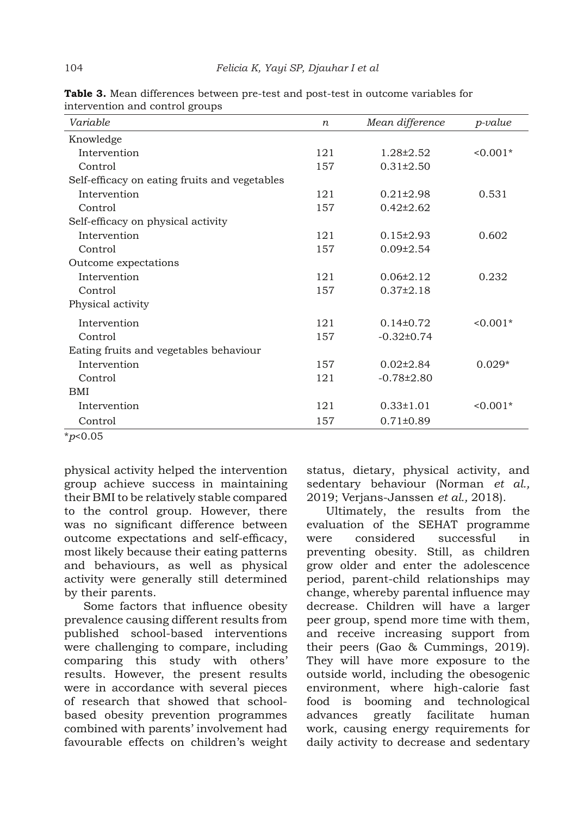| Variable                                      | $\boldsymbol{n}$ | Mean difference  | <i>p-value</i> |
|-----------------------------------------------|------------------|------------------|----------------|
| Knowledge                                     |                  |                  |                |
| Intervention                                  | 121              | 1.28±2.52        | $0.001*$       |
| Control                                       | 157              | $0.31 \pm 2.50$  |                |
| Self-efficacy on eating fruits and vegetables |                  |                  |                |
| Intervention                                  | 121              | $0.21 \pm 2.98$  | 0.531          |
| Control                                       | 157              | $0.42 \pm 2.62$  |                |
| Self-efficacy on physical activity            |                  |                  |                |
| Intervention                                  | 121              | $0.15 \pm 2.93$  | 0.602          |
| Control                                       | 157              | $0.09 \pm 2.54$  |                |
| Outcome expectations                          |                  |                  |                |
| Intervention                                  | 121              | $0.06\pm2.12$    | 0.232          |
| Control                                       | 157              | $0.37 \pm 2.18$  |                |
| Physical activity                             |                  |                  |                |
| Intervention                                  | 121              | $0.14\pm0.72$    | $0.001*$       |
| Control                                       | 157              | $-0.32\pm0.74$   |                |
| Eating fruits and vegetables behaviour        |                  |                  |                |
| Intervention                                  | 157              | $0.02\pm2.84$    | $0.029*$       |
| Control                                       | 121              | $-0.78 \pm 2.80$ |                |
| BMI                                           |                  |                  |                |
| Intervention                                  | 121              | $0.33 \pm 1.01$  | $0.001*$       |
| Control                                       | 157              | $0.71 \pm 0.89$  |                |

**Table 3.** Mean differences between pre-test and post-test in outcome variables for intervention and control groups

\**p*<0.05

physical activity helped the intervention group achieve success in maintaining their BMI to be relatively stable compared to the control group. However, there was no significant difference between outcome expectations and self-efficacy, most likely because their eating patterns and behaviours, as well as physical activity were generally still determined by their parents.

Some factors that influence obesity prevalence causing different results from published school-based interventions were challenging to compare, including comparing this study with others' results. However, the present results were in accordance with several pieces of research that showed that schoolbased obesity prevention programmes combined with parents' involvement had favourable effects on children's weight status, dietary, physical activity, and sedentary behaviour (Norman *et al.,* 2019; Verjans-Janssen *et al.,* 2018).

Ultimately, the results from the evaluation of the SEHAT programme were considered successful in preventing obesity. Still, as children grow older and enter the adolescence period, parent-child relationships may change, whereby parental influence may decrease. Children will have a larger peer group, spend more time with them, and receive increasing support from their peers (Gao & Cummings, 2019). They will have more exposure to the outside world, including the obesogenic environment, where high-calorie fast food is booming and technological advances greatly facilitate human work, causing energy requirements for daily activity to decrease and sedentary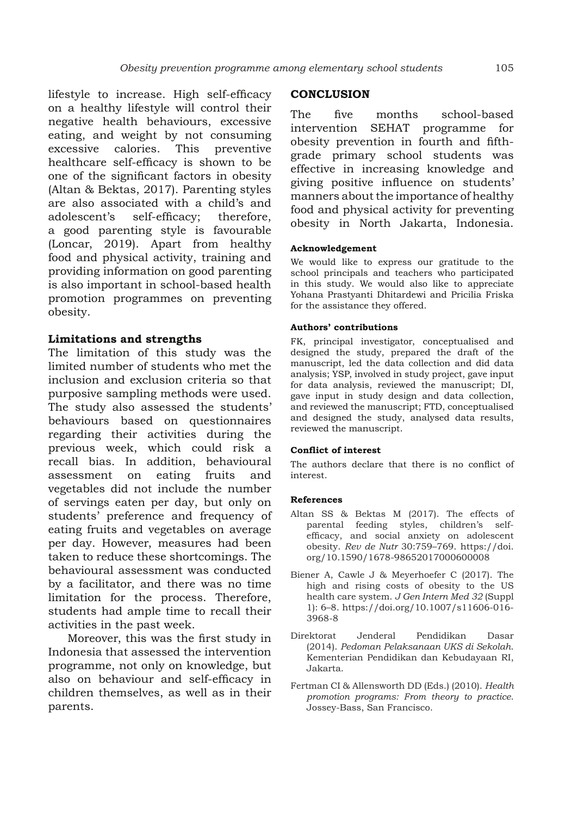lifestyle to increase. High self-efficacy on a healthy lifestyle will control their negative health behaviours, excessive eating, and weight by not consuming excessive calories. This preventive healthcare self-efficacy is shown to be one of the significant factors in obesity (Altan & Bektas, 2017). Parenting styles are also associated with a child's and adolescent's self-efficacy; therefore, a good parenting style is favourable (Loncar, 2019). Apart from healthy food and physical activity, training and providing information on good parenting is also important in school-based health promotion programmes on preventing obesity.

#### **Limitations and strengths**

The limitation of this study was the limited number of students who met the inclusion and exclusion criteria so that purposive sampling methods were used. The study also assessed the students' behaviours based on questionnaires regarding their activities during the previous week, which could risk a recall bias. In addition, behavioural assessment on eating fruits and vegetables did not include the number of servings eaten per day, but only on students' preference and frequency of eating fruits and vegetables on average per day. However, measures had been taken to reduce these shortcomings. The behavioural assessment was conducted by a facilitator, and there was no time limitation for the process. Therefore, students had ample time to recall their activities in the past week.

Moreover, this was the first study in Indonesia that assessed the intervention programme, not only on knowledge, but also on behaviour and self-efficacy in children themselves, as well as in their parents.

## **CONCLUSION**

The five months school-based intervention SEHAT programme for obesity prevention in fourth and fifthgrade primary school students was effective in increasing knowledge and giving positive influence on students' manners about the importance of healthy food and physical activity for preventing obesity in North Jakarta, Indonesia.

#### **Acknowledgement**

We would like to express our gratitude to the school principals and teachers who participated in this study. We would also like to appreciate Yohana Prastyanti Dhitardewi and Pricilia Friska for the assistance they offered.

#### **Authors' contributions**

FK, principal investigator, conceptualised and designed the study, prepared the draft of the manuscript, led the data collection and did data analysis; YSP, involved in study project, gave input for data analysis, reviewed the manuscript; DI, gave input in study design and data collection, and reviewed the manuscript; FTD, conceptualised and designed the study, analysed data results, reviewed the manuscript.

#### **Conflict of interest**

The authors declare that there is no conflict of interest.

#### **References**

- Altan SS & Bektas M (2017). The effects of parental feeding styles, children's selfefficacy, and social anxiety on adolescent obesity. *Rev de Nutr* 30:759–769. https://doi. org/10.1590/1678-98652017000600008
- Biener A, Cawle J & Meyerhoefer C (2017). The high and rising costs of obesity to the US health care system. *J Gen Intern Med 32* (Suppl 1): 6–8. https://doi.org/10.1007/s11606-016- 3968-8
- Direktorat Jenderal Pendidikan Dasar (2014). *Pedoman Pelaksanaan UKS di Sekolah*. Kementerian Pendidikan dan Kebudayaan RI, Jakarta.
- Fertman CI & Allensworth DD (Eds.) (2010). *Health promotion programs: From theory to practice*. Jossey-Bass, San Francisco.